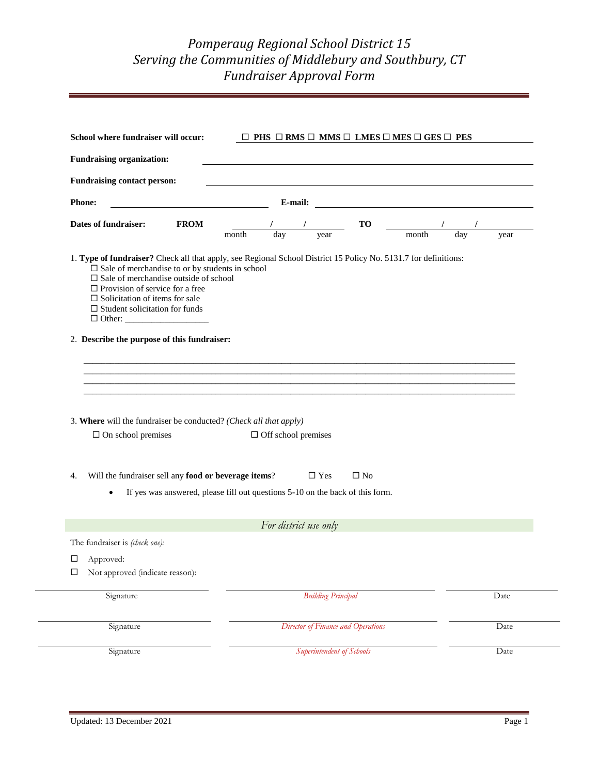## *Pomperaug Regional School District 15 Serving the Communities of Middlebury and Southbury, CT Fundraiser Approval Form*

| <b>Fundraising organization:</b>                                                                                                                                                                                                                                                                                                                            |                                                                               |                            |                                    |              |  |      |
|-------------------------------------------------------------------------------------------------------------------------------------------------------------------------------------------------------------------------------------------------------------------------------------------------------------------------------------------------------------|-------------------------------------------------------------------------------|----------------------------|------------------------------------|--------------|--|------|
| <b>Fundraising contact person:</b>                                                                                                                                                                                                                                                                                                                          |                                                                               |                            |                                    |              |  |      |
| <b>Phone:</b>                                                                                                                                                                                                                                                                                                                                               |                                                                               |                            |                                    |              |  |      |
| Dates of fundraiser:                                                                                                                                                                                                                                                                                                                                        | <b>FROM</b>                                                                   |                            | month day year TO <u>I / /</u>     |              |  | year |
| 1. Type of fundraiser? Check all that apply, see Regional School District 15 Policy No. 5131.7 for definitions:<br>$\square$ Sale of merchandise to or by students in school<br>$\square$ Sale of merchandise outside of school<br>$\Box$ Provision of service for a free<br>$\Box$ Solicitation of items for sale<br>$\Box$ Student solicitation for funds |                                                                               |                            |                                    |              |  |      |
| 2. Describe the purpose of this fundraiser:                                                                                                                                                                                                                                                                                                                 |                                                                               |                            |                                    |              |  |      |
|                                                                                                                                                                                                                                                                                                                                                             |                                                                               |                            |                                    |              |  |      |
|                                                                                                                                                                                                                                                                                                                                                             |                                                                               |                            |                                    |              |  |      |
|                                                                                                                                                                                                                                                                                                                                                             |                                                                               |                            |                                    |              |  |      |
|                                                                                                                                                                                                                                                                                                                                                             |                                                                               |                            |                                    |              |  |      |
|                                                                                                                                                                                                                                                                                                                                                             |                                                                               |                            |                                    |              |  |      |
|                                                                                                                                                                                                                                                                                                                                                             |                                                                               |                            |                                    |              |  |      |
| $\square$ On school premises                                                                                                                                                                                                                                                                                                                                |                                                                               | $\Box$ Off school premises |                                    |              |  |      |
|                                                                                                                                                                                                                                                                                                                                                             |                                                                               |                            |                                    |              |  |      |
|                                                                                                                                                                                                                                                                                                                                                             |                                                                               |                            | $\square$ Yes                      | $\square$ No |  |      |
| Will the fundraiser sell any food or beverage items?                                                                                                                                                                                                                                                                                                        |                                                                               |                            |                                    |              |  |      |
|                                                                                                                                                                                                                                                                                                                                                             | If yes was answered, please fill out questions 5-10 on the back of this form. |                            |                                    |              |  |      |
|                                                                                                                                                                                                                                                                                                                                                             |                                                                               |                            |                                    |              |  |      |
|                                                                                                                                                                                                                                                                                                                                                             |                                                                               |                            | For district use only              |              |  |      |
|                                                                                                                                                                                                                                                                                                                                                             |                                                                               |                            |                                    |              |  |      |
| Not approved (indicate reason):                                                                                                                                                                                                                                                                                                                             |                                                                               |                            |                                    |              |  |      |
|                                                                                                                                                                                                                                                                                                                                                             |                                                                               |                            |                                    |              |  |      |
| Signature                                                                                                                                                                                                                                                                                                                                                   |                                                                               |                            | <b>Building Principal</b>          |              |  | Date |
|                                                                                                                                                                                                                                                                                                                                                             |                                                                               |                            |                                    |              |  |      |
| 3. Where will the fundraiser be conducted? (Check all that apply)<br>4.<br>The fundraiser is (check one):<br>$\Box$ Approved:<br>□<br>Signature                                                                                                                                                                                                             |                                                                               |                            | Director of Finance and Operations |              |  | Date |